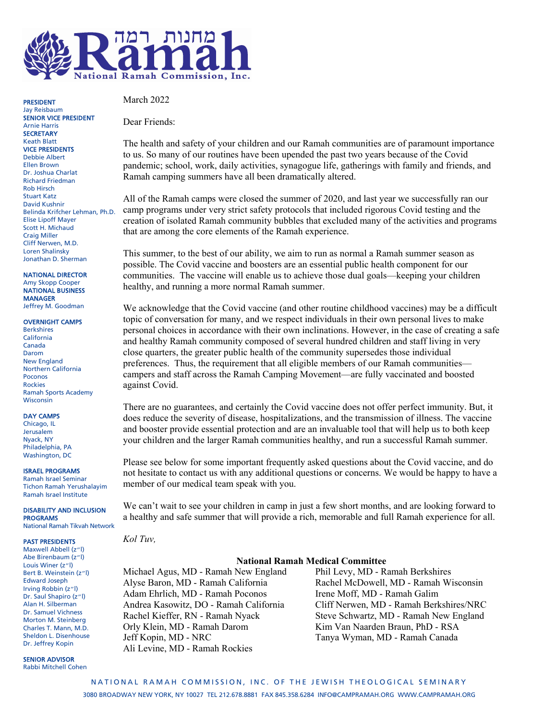

PRESIDENT Jay Reisbaum SENIOR VICE PRESIDENT Arnie Harris **SECRETARY** Keath Blatt VICE PRESIDENTS Debbie Albert Ellen Brown Dr. Joshua Charlat Richard Friedman Rob Hirsch Stuart Katz David Kushnir Belinda Krifcher Lehman, Ph.D. Elise Lipoff Mayer Scott H. Michaud Craig Miller Cliff Nerwen, M.D. Loren Shalinsky Jonathan D. Sherman

NATIONAL DIRECTOR Amy Skopp Cooper NATIONAL BUSINESS MANAGER Jeffrey M. Goodman

#### OVERNIGHT CAMPS

Berkshires California Canada Darom New England Northern California Poconos Rockies Ramah Sports Academy Wisconsin

#### DAY CAMPS

Chicago, IL Jerusalem Nyack, NY Philadelphia, PA Washington, DC

#### ISRAEL PROGRAMS

Ramah Israel Seminar Tichon Ramah Yerushalayim Ramah Israel Institute

#### DISABILITY AND INCLUSION PROGRAMS

National Ramah Tikvah Network

#### PAST PRESIDENTS

Maxwell Abbell (z"l) Abe Birenbaum (z"l) Louis Winer (z"l) Bert B. Weinstein (z"l) Edward Joseph Irving Robbin (z"l) Dr. Saul Shapiro (z"l) Alan H. Silberman Dr. Samuel Vichness Morton M. Steinberg Charles T. Mann, M.D. Sheldon L. Disenhouse Dr. Jeffrey Kopin

SENIOR ADVISOR Rabbi Mitchell Cohen March 2022

Dear Friends:

The health and safety of your children and our Ramah communities are of paramount importance to us. So many of our routines have been upended the past two years because of the Covid pandemic; school, work, daily activities, synagogue life, gatherings with family and friends, and Ramah camping summers have all been dramatically altered.

All of the Ramah camps were closed the summer of 2020, and last year we successfully ran our camp programs under very strict safety protocols that included rigorous Covid testing and the creation of isolated Ramah community bubbles that excluded many of the activities and programs that are among the core elements of the Ramah experience.

This summer, to the best of our ability, we aim to run as normal a Ramah summer season as possible. The Covid vaccine and boosters are an essential public health component for our communities. The vaccine will enable us to achieve those dual goals—keeping your children healthy, and running a more normal Ramah summer.

We acknowledge that the Covid vaccine (and other routine childhood vaccines) may be a difficult topic of conversation for many, and we respect individuals in their own personal lives to make personal choices in accordance with their own inclinations. However, in the case of creating a safe and healthy Ramah community composed of several hundred children and staff living in very close quarters, the greater public health of the community supersedes those individual preferences. Thus, the requirement that all eligible members of our Ramah communities campers and staff across the Ramah Camping Movement—are fully vaccinated and boosted against Covid.

There are no guarantees, and certainly the Covid vaccine does not offer perfect immunity. But, it does reduce the severity of disease, hospitalizations, and the transmission of illness. The vaccine and booster provide essential protection and are an invaluable tool that will help us to both keep your children and the larger Ramah communities healthy, and run a successful Ramah summer.

Please see below for some important frequently asked questions about the Covid vaccine, and do not hesitate to contact us with any additional questions or concerns. We would be happy to have a member of our medical team speak with you.

We can't wait to see your children in camp in just a few short months, and are looking forward to a healthy and safe summer that will provide a rich, memorable and full Ramah experience for all.

*Kol Tuv,*

#### **National Ramah Medical Committee**

Michael Agus, MD - Ramah New England Alyse Baron, MD - Ramah California Adam Ehrlich, MD - Ramah Poconos Andrea Kasowitz, DO - Ramah California Rachel Kieffer, RN - Ramah Nyack Orly Klein, MD - Ramah Darom Jeff Kopin, MD - NRC Ali Levine, MD - Ramah Rockies

Phil Levy, MD - Ramah Berkshires Rachel McDowell, MD - Ramah Wisconsin Irene Moff, MD - Ramah Galim Cliff Nerwen, MD - Ramah Berkshires/NRC Steve Schwartz, MD - Ramah New England Kim Van Naarden Braun, PhD - RSA Tanya Wyman, MD - Ramah Canada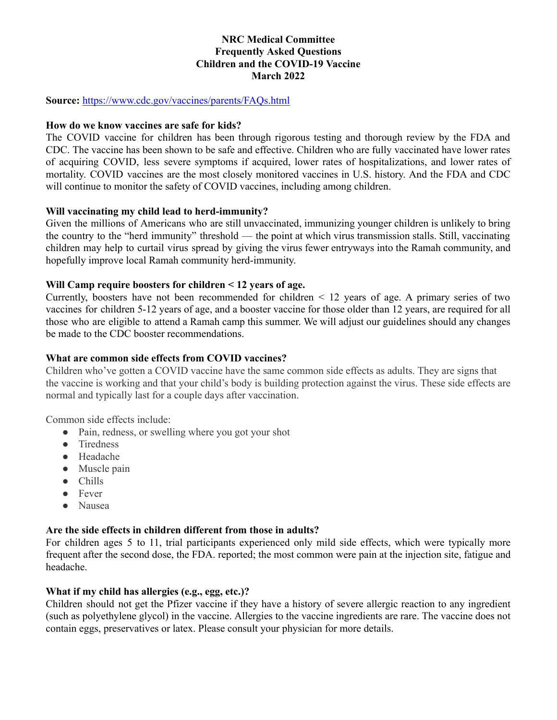# **NRC Medical Committee Frequently Asked Questions Children and the COVID-19 Vaccine March 2022**

# **Source:** <https://www.cdc.gov/vaccines/parents/FAQs.html>

#### **How do we know vaccines are safe for kids?**

 The COVID vaccine for children has been through rigorous testing and thorough review by the FDA and CDC. The vaccine has been shown to be safe and effective. Children who are fully vaccinated have lower rates of acquiring COVID, less severe symptoms if acquired, lower rates of hospitalizations, and lower rates of mortality. COVID vaccines are the most closely monitored vaccines in U.S. history. And the FDA and CDC will continue to monitor the safety of COVID vaccines, including among children.

### **Will vaccinating my child lead to herd-immunity?**

 Given the millions of Americans who are still unvaccinated, immunizing younger children is unlikely to bring the country to the "herd immunity" threshold — the point at which virus transmission stalls. Still, vaccinating children may help to curtail virus spread by giving the virus fewer entryways into the Ramah community, and hopefully improve local Ramah community herd-immunity.

### **Will Camp require boosters for children < 12 years of age.**

 Currently, boosters have not been recommended for children < 12 years of age. A primary series of two vaccines for children 5-12 years of age, and a booster vaccine for those older than 12 years, are required for all those who are eligible to attend a Ramah camp this summer. We will adjust our guidelines should any changes be made to the CDC booster recommendations.

#### **What are common side effects from COVID vaccines?**

 Children who've gotten a COVID vaccine have the same common side effects as adults. They are signs that the vaccine is working and that your child's body is building protection against the virus. These side effects are normal and typically last for a couple days after vaccination.

Common side effects include:

- Pain, redness, or swelling where you got your shot
- Tiredness
- Headache
- Muscle pain
- Chills
- Fever
- Nausea

### **Are the side effects in children different from those in adults?**

 For children ages 5 to 11, trial participants experienced only mild side effects, which were typically more frequent after the second dose, the FDA. reported; the most common were pain at the injection site, fatigue and headache.

## **What if my child has allergies (e.g., egg, etc.)?**

 Children should not get the Pfizer vaccine if they have a history of severe allergic reaction to any ingredient (such as polyethylene glycol) in the vaccine. Allergies to the vaccine ingredients are rare. The vaccine does not contain eggs, preservatives or latex. Please consult your physician for more details.